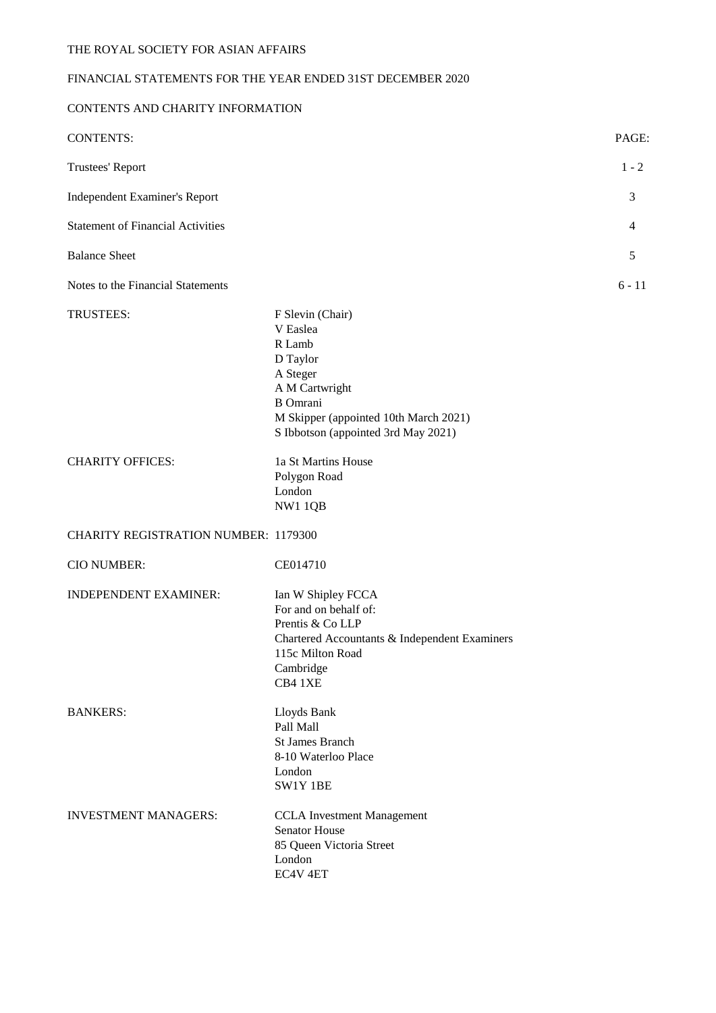# FINANCIAL STATEMENTS FOR THE YEAR ENDED 31ST DECEMBER 2020

# CONTENTS AND CHARITY INFORMATION

| <b>CONTENTS:</b>                            |                                                                                                                                                                                     | PAGE:    |
|---------------------------------------------|-------------------------------------------------------------------------------------------------------------------------------------------------------------------------------------|----------|
| Trustees' Report                            |                                                                                                                                                                                     | $1 - 2$  |
| Independent Examiner's Report               |                                                                                                                                                                                     | 3        |
| <b>Statement of Financial Activities</b>    |                                                                                                                                                                                     | 4        |
| <b>Balance Sheet</b>                        |                                                                                                                                                                                     | 5        |
| Notes to the Financial Statements           |                                                                                                                                                                                     | $6 - 11$ |
| TRUSTEES:                                   | F Slevin (Chair)<br>V Easlea<br>R Lamb<br>D Taylor<br>A Steger<br>A M Cartwright<br><b>B</b> Omrani<br>M Skipper (appointed 10th March 2021)<br>S Ibbotson (appointed 3rd May 2021) |          |
| <b>CHARITY OFFICES:</b>                     | 1a St Martins House<br>Polygon Road<br>London<br>NW1 1QB                                                                                                                            |          |
| <b>CHARITY REGISTRATION NUMBER: 1179300</b> |                                                                                                                                                                                     |          |
| <b>CIO NUMBER:</b>                          | CE014710                                                                                                                                                                            |          |
| <b>INDEPENDENT EXAMINER:</b>                | Ian W Shipley FCCA<br>For and on behalf of:<br>Prentis & Co LLP<br>Chartered Accountants & Independent Examiners<br>115c Milton Road<br>Cambridge<br>CB4 1XE                        |          |
| <b>BANKERS:</b>                             | Lloyds Bank<br>Pall Mall<br><b>St James Branch</b><br>8-10 Waterloo Place<br>London<br>SW1Y 1BE                                                                                     |          |
| <b>INVESTMENT MANAGERS:</b>                 | <b>CCLA</b> Investment Management<br>Senator House<br>85 Queen Victoria Street<br>London<br>EC4V <sub>4ET</sub>                                                                     |          |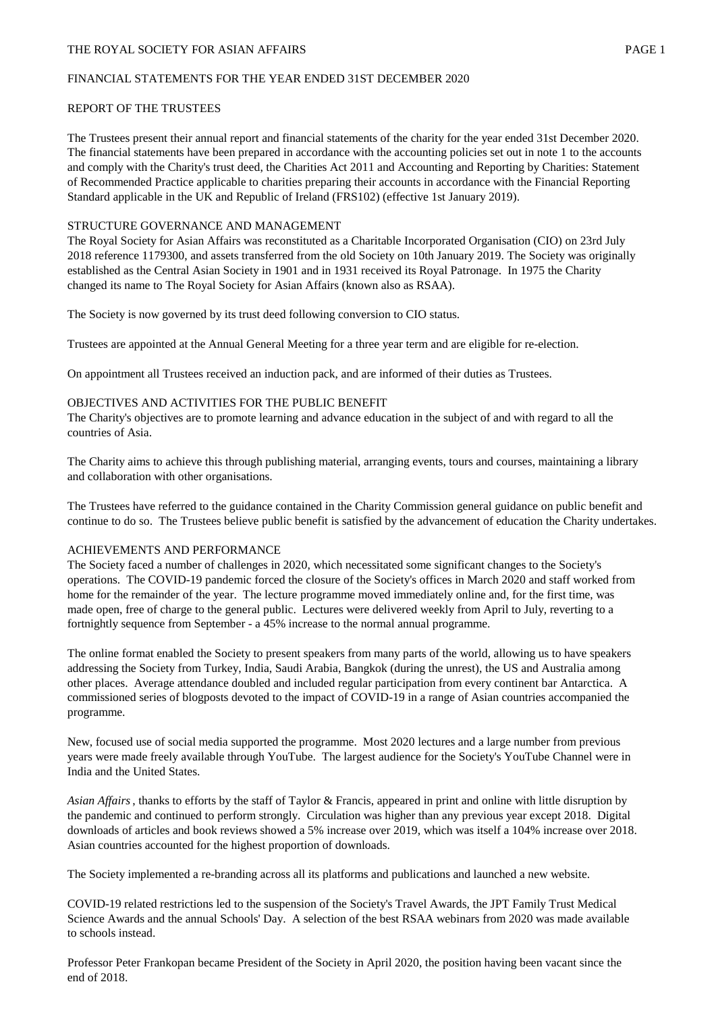### THE ROYAL SOCIETY FOR ASIAN AFFAIRS **EXECUTE 2** PAGE 1

### FINANCIAL STATEMENTS FOR THE YEAR ENDED 31ST DECEMBER 2020

## REPORT OF THE TRUSTEES

The Trustees present their annual report and financial statements of the charity for the year ended 31st December 2020. The financial statements have been prepared in accordance with the accounting policies set out in note 1 to the accounts and comply with the Charity's trust deed, the Charities Act 2011 and Accounting and Reporting by Charities: Statement of Recommended Practice applicable to charities preparing their accounts in accordance with the Financial Reporting Standard applicable in the UK and Republic of Ireland (FRS102) (effective 1st January 2019).

# STRUCTURE GOVERNANCE AND MANAGEMENT

The Royal Society for Asian Affairs was reconstituted as a Charitable Incorporated Organisation (CIO) on 23rd July 2018 reference 1179300, and assets transferred from the old Society on 10th January 2019. The Society was originally established as the Central Asian Society in 1901 and in 1931 received its Royal Patronage. In 1975 the Charity changed its name to The Royal Society for Asian Affairs (known also as RSAA).

The Society is now governed by its trust deed following conversion to CIO status.

Trustees are appointed at the Annual General Meeting for a three year term and are eligible for re-election.

On appointment all Trustees received an induction pack, and are informed of their duties as Trustees.

# OBJECTIVES AND ACTIVITIES FOR THE PUBLIC BENEFIT

The Charity's objectives are to promote learning and advance education in the subject of and with regard to all the countries of Asia.

The Charity aims to achieve this through publishing material, arranging events, tours and courses, maintaining a library and collaboration with other organisations.

The Trustees have referred to the guidance contained in the Charity Commission general guidance on public benefit and continue to do so. The Trustees believe public benefit is satisfied by the advancement of education the Charity undertakes.

# ACHIEVEMENTS AND PERFORMANCE

The Society faced a number of challenges in 2020, which necessitated some significant changes to the Society's operations. The COVID-19 pandemic forced the closure of the Society's offices in March 2020 and staff worked from home for the remainder of the year. The lecture programme moved immediately online and, for the first time, was made open, free of charge to the general public. Lectures were delivered weekly from April to July, reverting to a fortnightly sequence from September - a 45% increase to the normal annual programme.

The online format enabled the Society to present speakers from many parts of the world, allowing us to have speakers addressing the Society from Turkey, India, Saudi Arabia, Bangkok (during the unrest), the US and Australia among other places. Average attendance doubled and included regular participation from every continent bar Antarctica. A commissioned series of blogposts devoted to the impact of COVID-19 in a range of Asian countries accompanied the programme.

New, focused use of social media supported the programme. Most 2020 lectures and a large number from previous years were made freely available through YouTube. The largest audience for the Society's YouTube Channel were in India and the United States.

*Asian Affairs*, thanks to efforts by the staff of Taylor & Francis, appeared in print and online with little disruption by the pandemic and continued to perform strongly. Circulation was higher than any previous year except 2018. Digital downloads of articles and book reviews showed a 5% increase over 2019, which was itself a 104% increase over 2018. Asian countries accounted for the highest proportion of downloads.

The Society implemented a re-branding across all its platforms and publications and launched a new website.

COVID-19 related restrictions led to the suspension of the Society's Travel Awards, the JPT Family Trust Medical Science Awards and the annual Schools' Day. A selection of the best RSAA webinars from 2020 was made available to schools instead.

Professor Peter Frankopan became President of the Society in April 2020, the position having been vacant since the end of 2018.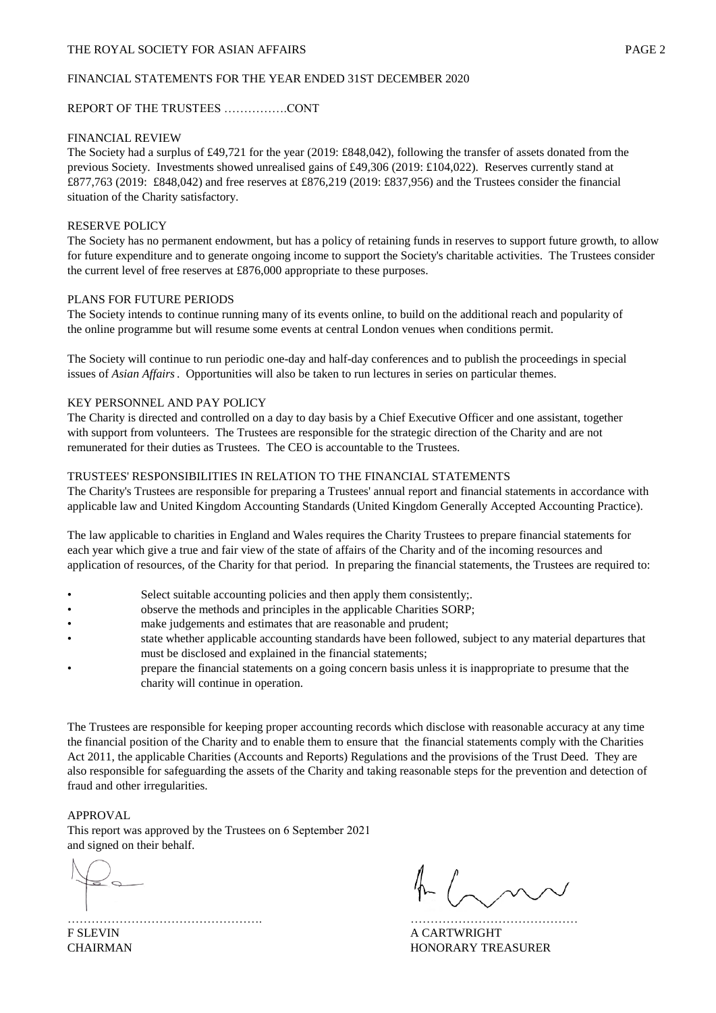#### FINANCIAL STATEMENTS FOR THE YEAR ENDED 31ST DECEMBER 2020

### REPORT OF THE TRUSTEES …………….CONT

#### FINANCIAL REVIEW

The Society had a surplus of £49,721 for the year (2019: £848,042), following the transfer of assets donated from the previous Society. Investments showed unrealised gains of £49,306 (2019: £104,022). Reserves currently stand at £877,763 (2019: £848,042) and free reserves at £876,219 (2019: £837,956) and the Trustees consider the financial situation of the Charity satisfactory.

#### RESERVE POLICY

The Society has no permanent endowment, but has a policy of retaining funds in reserves to support future growth, to allow for future expenditure and to generate ongoing income to support the Society's charitable activities. The Trustees consider the current level of free reserves at £876,000 appropriate to these purposes.

#### PLANS FOR FUTURE PERIODS

The Society intends to continue running many of its events online, to build on the additional reach and popularity of the online programme but will resume some events at central London venues when conditions permit.

The Society will continue to run periodic one-day and half-day conferences and to publish the proceedings in special issues of *Asian Affairs*. Opportunities will also be taken to run lectures in series on particular themes.

#### KEY PERSONNEL AND PAY POLICY

The Charity is directed and controlled on a day to day basis by a Chief Executive Officer and one assistant, together with support from volunteers. The Trustees are responsible for the strategic direction of the Charity and are not remunerated for their duties as Trustees. The CEO is accountable to the Trustees.

#### TRUSTEES' RESPONSIBILITIES IN RELATION TO THE FINANCIAL STATEMENTS

The Charity's Trustees are responsible for preparing a Trustees' annual report and financial statements in accordance with applicable law and United Kingdom Accounting Standards (United Kingdom Generally Accepted Accounting Practice).

The law applicable to charities in England and Wales requires the Charity Trustees to prepare financial statements for each year which give a true and fair view of the state of affairs of the Charity and of the incoming resources and application of resources, of the Charity for that period. In preparing the financial statements, the Trustees are required to:

- Select suitable accounting policies and then apply them consistently;.
- observe the methods and principles in the applicable Charities SORP;
- make judgements and estimates that are reasonable and prudent;
- state whether applicable accounting standards have been followed, subject to any material departures that must be disclosed and explained in the financial statements;
- prepare the financial statements on a going concern basis unless it is inappropriate to presume that the charity will continue in operation.

The Trustees are responsible for keeping proper accounting records which disclose with reasonable accuracy at any time the financial position of the Charity and to enable them to ensure that the financial statements comply with the Charities Act 2011, the applicable Charities (Accounts and Reports) Regulations and the provisions of the Trust Deed. They are also responsible for safeguarding the assets of the Charity and taking reasonable steps for the prevention and detection of fraud and other irregularities.

# APPROVAL

This report was approved by the Trustees on 6 September 2021 and signed on their behalf.

 $\sim$ 

…………………………………………. …………………………………… F SLEVIN A CARTWRIGHT CHAIRMAN HONORARY TREASURER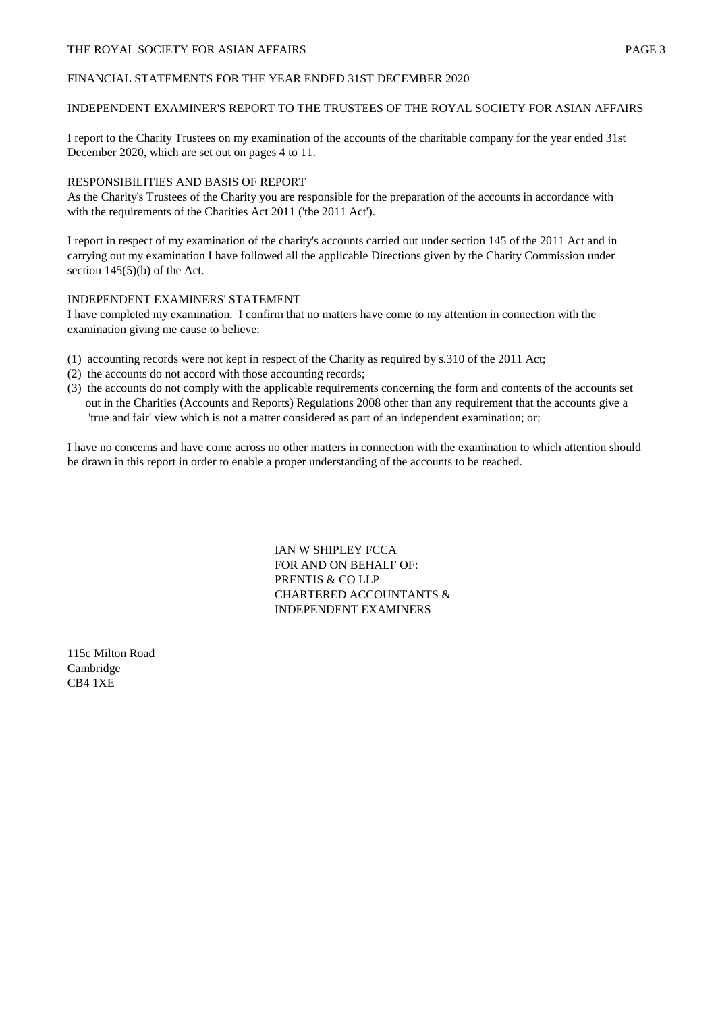# THE ROYAL SOCIETY FOR ASIAN AFFAIRS **EXECUTE 2** PAGE 3

### FINANCIAL STATEMENTS FOR THE YEAR ENDED 31ST DECEMBER 2020

### INDEPENDENT EXAMINER'S REPORT TO THE TRUSTEES OF THE ROYAL SOCIETY FOR ASIAN AFFAIRS

I report to the Charity Trustees on my examination of the accounts of the charitable company for the year ended 31st December 2020, which are set out on pages 4 to 11.

# RESPONSIBILITIES AND BASIS OF REPORT

As the Charity's Trustees of the Charity you are responsible for the preparation of the accounts in accordance with with the requirements of the Charities Act 2011 ('the 2011 Act').

I report in respect of my examination of the charity's accounts carried out under section 145 of the 2011 Act and in carrying out my examination I have followed all the applicable Directions given by the Charity Commission under section 145(5)(b) of the Act.

### INDEPENDENT EXAMINERS' STATEMENT

I have completed my examination. I confirm that no matters have come to my attention in connection with the examination giving me cause to believe:

- (1) accounting records were not kept in respect of the Charity as required by s.310 of the 2011 Act;
- (2) the accounts do not accord with those accounting records;
- (3) the accounts do not comply with the applicable requirements concerning the form and contents of the accounts set out in the Charities (Accounts and Reports) Regulations 2008 other than any requirement that the accounts give a 'true and fair' view which is not a matter considered as part of an independent examination; or;

I have no concerns and have come across no other matters in connection with the examination to which attention should be drawn in this report in order to enable a proper understanding of the accounts to be reached.

> IAN W SHIPLEY FCCA FOR AND ON BEHALF OF: PRENTIS & CO LLP CHARTERED ACCOUNTANTS & INDEPENDENT EXAMINERS

115c Milton Road Cambridge CB4 1XE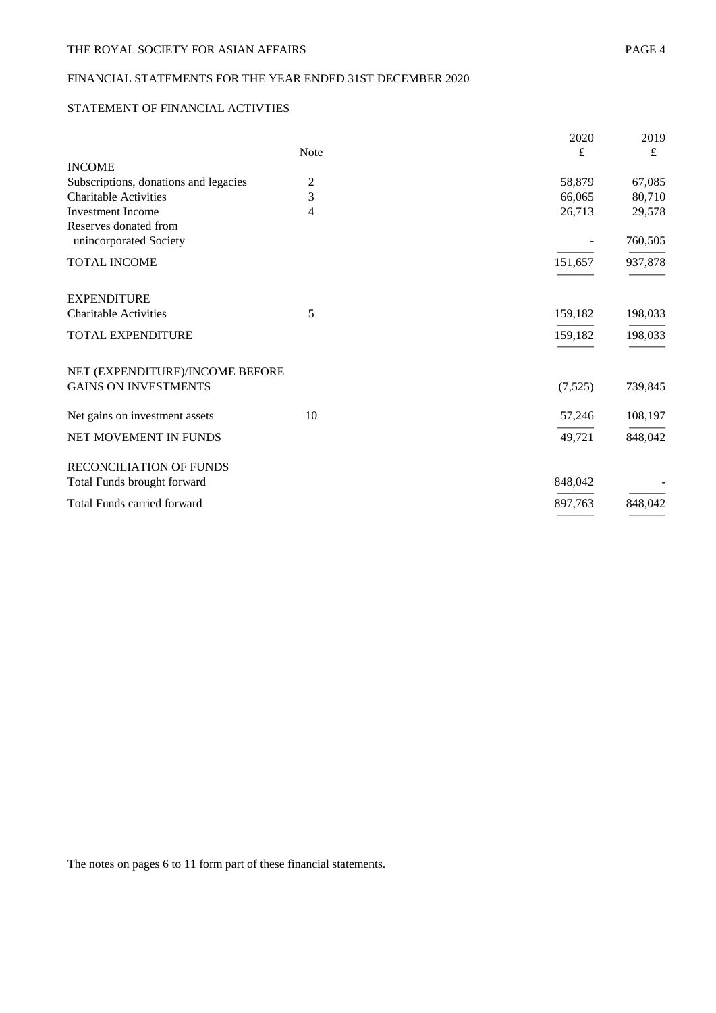# FINANCIAL STATEMENTS FOR THE YEAR ENDED 31ST DECEMBER 2020

# STATEMENT OF FINANCIAL ACTIVTIES

|                                       |      | 2020    | 2019      |
|---------------------------------------|------|---------|-----------|
| <b>INCOME</b>                         | Note | £       | $\pounds$ |
| Subscriptions, donations and legacies | 2    | 58,879  | 67,085    |
| <b>Charitable Activities</b>          | 3    | 66,065  | 80,710    |
| <b>Investment Income</b>              | 4    | 26,713  | 29,578    |
| Reserves donated from                 |      |         |           |
| unincorporated Society                |      |         | 760,505   |
| TOTAL INCOME                          |      | 151,657 | 937,878   |
|                                       |      |         |           |
| <b>EXPENDITURE</b>                    |      |         |           |
| <b>Charitable Activities</b>          | 5    | 159,182 | 198,033   |
| TOTAL EXPENDITURE                     |      | 159,182 | 198,033   |
|                                       |      |         |           |
| NET (EXPENDITURE)/INCOME BEFORE       |      |         |           |
| <b>GAINS ON INVESTMENTS</b>           |      | (7,525) | 739,845   |
| Net gains on investment assets        | 10   | 57,246  | 108,197   |
| NET MOVEMENT IN FUNDS                 |      | 49,721  | 848,042   |
| RECONCILIATION OF FUNDS               |      |         |           |
| Total Funds brought forward           |      | 848,042 |           |
| <b>Total Funds carried forward</b>    |      | 897,763 | 848,042   |
|                                       |      |         |           |

The notes on pages 6 to 11 form part of these financial statements.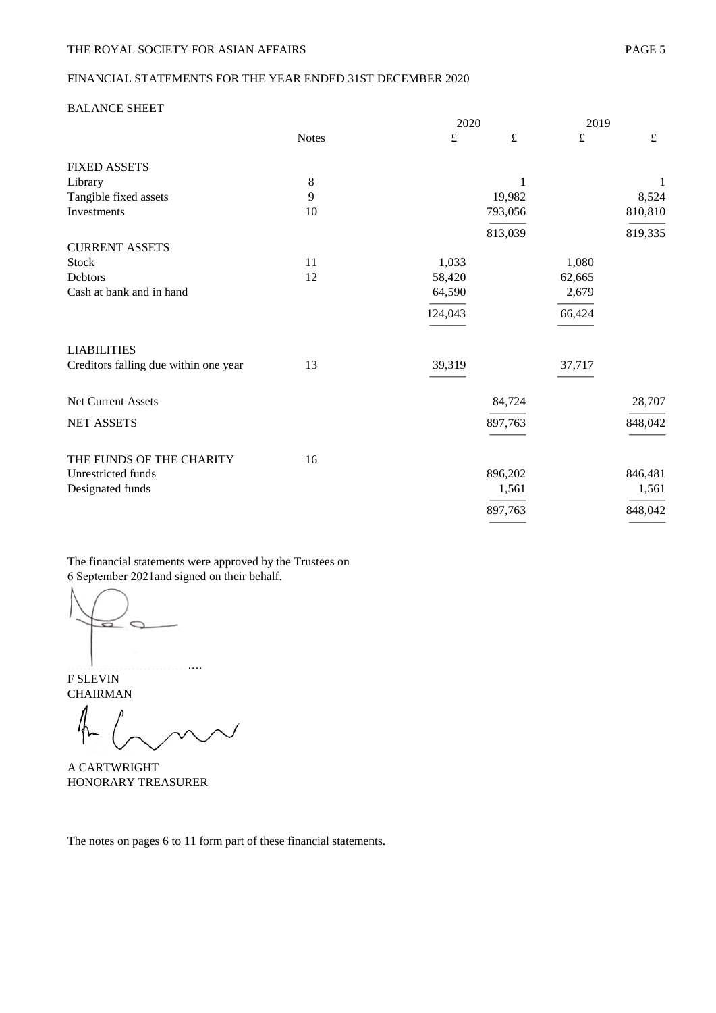# FINANCIAL STATEMENTS FOR THE YEAR ENDED 31ST DECEMBER 2020

#### BALANCE SHEET

|                                       |              | 2020    |           | 2019   |           |
|---------------------------------------|--------------|---------|-----------|--------|-----------|
|                                       | <b>Notes</b> | £       | $\pounds$ | £      | $\pounds$ |
| <b>FIXED ASSETS</b>                   |              |         |           |        |           |
| Library                               | 8            |         | 1         |        | 1         |
| Tangible fixed assets                 | 9            |         | 19,982    |        | 8,524     |
| Investments                           | 10           |         | 793,056   |        | 810,810   |
|                                       |              |         | 813,039   |        | 819,335   |
| <b>CURRENT ASSETS</b>                 |              |         |           |        |           |
| Stock                                 | 11           | 1,033   |           | 1,080  |           |
| Debtors                               | 12           | 58,420  |           | 62,665 |           |
| Cash at bank and in hand              |              | 64,590  |           | 2,679  |           |
|                                       |              | 124,043 |           | 66,424 |           |
| <b>LIABILITIES</b>                    |              |         |           |        |           |
| Creditors falling due within one year | 13           | 39,319  |           | 37,717 |           |
| Net Current Assets                    |              |         | 84,724    |        | 28,707    |
| <b>NET ASSETS</b>                     |              |         | 897,763   |        | 848,042   |
| THE FUNDS OF THE CHARITY              | 16           |         |           |        |           |
| Unrestricted funds                    |              |         | 896,202   |        | 846,481   |
| Designated funds                      |              |         | 1,561     |        | 1,561     |
|                                       |              |         | 897,763   |        | 848,042   |
|                                       |              |         |           |        |           |

The financial statements were approved by the Trustees on 6 September 2021and signed on their behalf.

…………………………….

 $\overline{\phantom{0}}$ 

F SLEVIN CHAIRMAN

A CARTWRIGHT HONORARY TREASURER

The notes on pages 6 to 11 form part of these financial statements.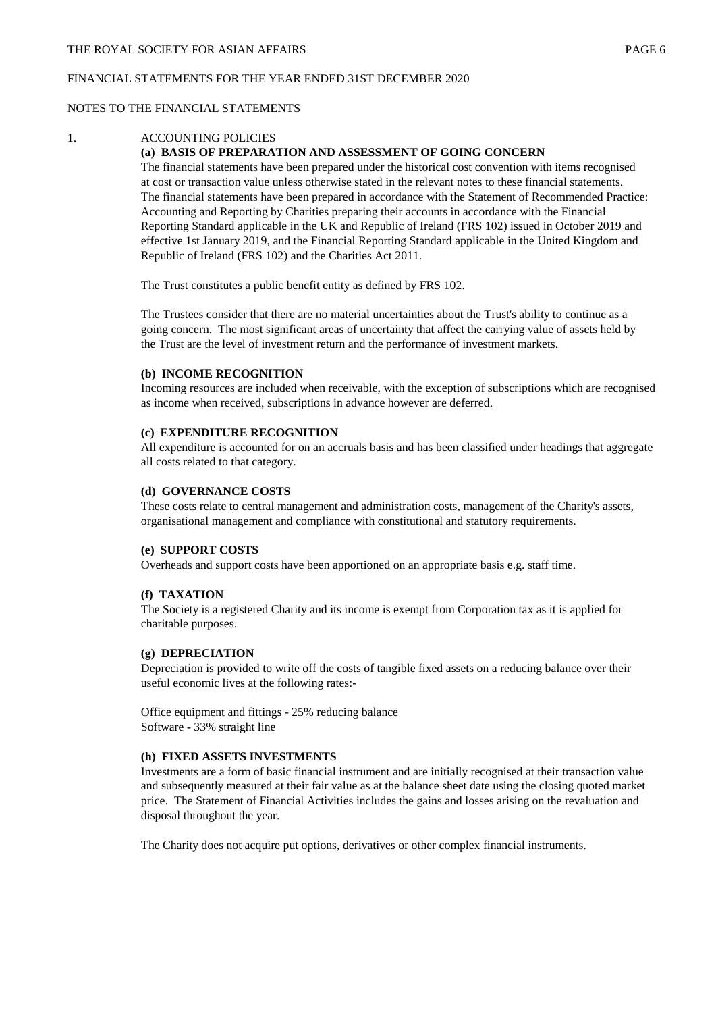## FINANCIAL STATEMENTS FOR THE YEAR ENDED 31ST DECEMBER 2020

## NOTES TO THE FINANCIAL STATEMENTS

#### 1. ACCOUNTING POLICIES

### **(a) BASIS OF PREPARATION AND ASSESSMENT OF GOING CONCERN**

The financial statements have been prepared under the historical cost convention with items recognised at cost or transaction value unless otherwise stated in the relevant notes to these financial statements. The financial statements have been prepared in accordance with the Statement of Recommended Practice: Accounting and Reporting by Charities preparing their accounts in accordance with the Financial Reporting Standard applicable in the UK and Republic of Ireland (FRS 102) issued in October 2019 and effective 1st January 2019, and the Financial Reporting Standard applicable in the United Kingdom and Republic of Ireland (FRS 102) and the Charities Act 2011.

The Trust constitutes a public benefit entity as defined by FRS 102.

The Trustees consider that there are no material uncertainties about the Trust's ability to continue as a going concern. The most significant areas of uncertainty that affect the carrying value of assets held by the Trust are the level of investment return and the performance of investment markets.

#### **(b) INCOME RECOGNITION**

Incoming resources are included when receivable, with the exception of subscriptions which are recognised as income when received, subscriptions in advance however are deferred.

# **(c) EXPENDITURE RECOGNITION**

All expenditure is accounted for on an accruals basis and has been classified under headings that aggregate all costs related to that category.

#### **(d) GOVERNANCE COSTS**

These costs relate to central management and administration costs, management of the Charity's assets, organisational management and compliance with constitutional and statutory requirements.

### **(e) SUPPORT COSTS**

Overheads and support costs have been apportioned on an appropriate basis e.g. staff time.

### **(f) TAXATION**

The Society is a registered Charity and its income is exempt from Corporation tax as it is applied for charitable purposes.

### **(g) DEPRECIATION**

Depreciation is provided to write off the costs of tangible fixed assets on a reducing balance over their useful economic lives at the following rates:-

Office equipment and fittings - 25% reducing balance Software - 33% straight line

### **(h) FIXED ASSETS INVESTMENTS**

Investments are a form of basic financial instrument and are initially recognised at their transaction value and subsequently measured at their fair value as at the balance sheet date using the closing quoted market price. The Statement of Financial Activities includes the gains and losses arising on the revaluation and disposal throughout the year.

The Charity does not acquire put options, derivatives or other complex financial instruments.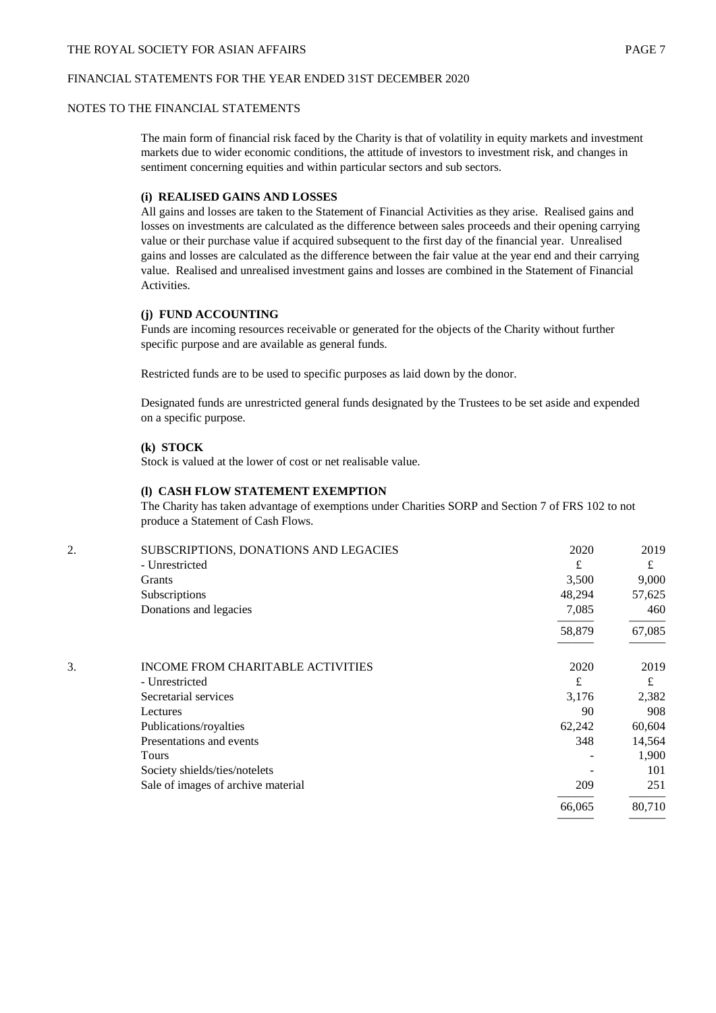## THE ROYAL SOCIETY FOR ASIAN AFFAIRS **EXECUTES PAGE 7**

#### FINANCIAL STATEMENTS FOR THE YEAR ENDED 31ST DECEMBER 2020

#### NOTES TO THE FINANCIAL STATEMENTS

The main form of financial risk faced by the Charity is that of volatility in equity markets and investment markets due to wider economic conditions, the attitude of investors to investment risk, and changes in sentiment concerning equities and within particular sectors and sub sectors.

## **(i) REALISED GAINS AND LOSSES**

All gains and losses are taken to the Statement of Financial Activities as they arise. Realised gains and losses on investments are calculated as the difference between sales proceeds and their opening carrying value or their purchase value if acquired subsequent to the first day of the financial year. Unrealised gains and losses are calculated as the difference between the fair value at the year end and their carrying value. Realised and unrealised investment gains and losses are combined in the Statement of Financial Activities.

### **(j) FUND ACCOUNTING**

Funds are incoming resources receivable or generated for the objects of the Charity without further specific purpose and are available as general funds.

Restricted funds are to be used to specific purposes as laid down by the donor.

Designated funds are unrestricted general funds designated by the Trustees to be set aside and expended on a specific purpose.

# **(k) STOCK**

Stock is valued at the lower of cost or net realisable value.

### **(l) CASH FLOW STATEMENT EXEMPTION**

The Charity has taken advantage of exemptions under Charities SORP and Section 7 of FRS 102 to not produce a Statement of Cash Flows.

| 2. | SUBSCRIPTIONS, DONATIONS AND LEGACIES    | 2020   | 2019   |
|----|------------------------------------------|--------|--------|
|    | - Unrestricted                           | £      | £      |
|    | <b>Grants</b>                            | 3,500  | 9,000  |
|    | Subscriptions                            | 48,294 | 57,625 |
|    | Donations and legacies                   | 7,085  | 460    |
|    |                                          | 58,879 | 67,085 |
| 3. | <b>INCOME FROM CHARITABLE ACTIVITIES</b> | 2020   | 2019   |
|    | - Unrestricted                           | £      | £      |
|    | Secretarial services                     | 3,176  | 2,382  |
|    | Lectures                                 | 90     | 908    |
|    | Publications/royalties                   | 62,242 | 60,604 |
|    | Presentations and events                 | 348    | 14,564 |
|    | Tours                                    |        | 1,900  |
|    | Society shields/ties/notelets            |        | 101    |
|    | Sale of images of archive material       | 209    | 251    |
|    |                                          | 66,065 | 80,710 |
|    |                                          |        |        |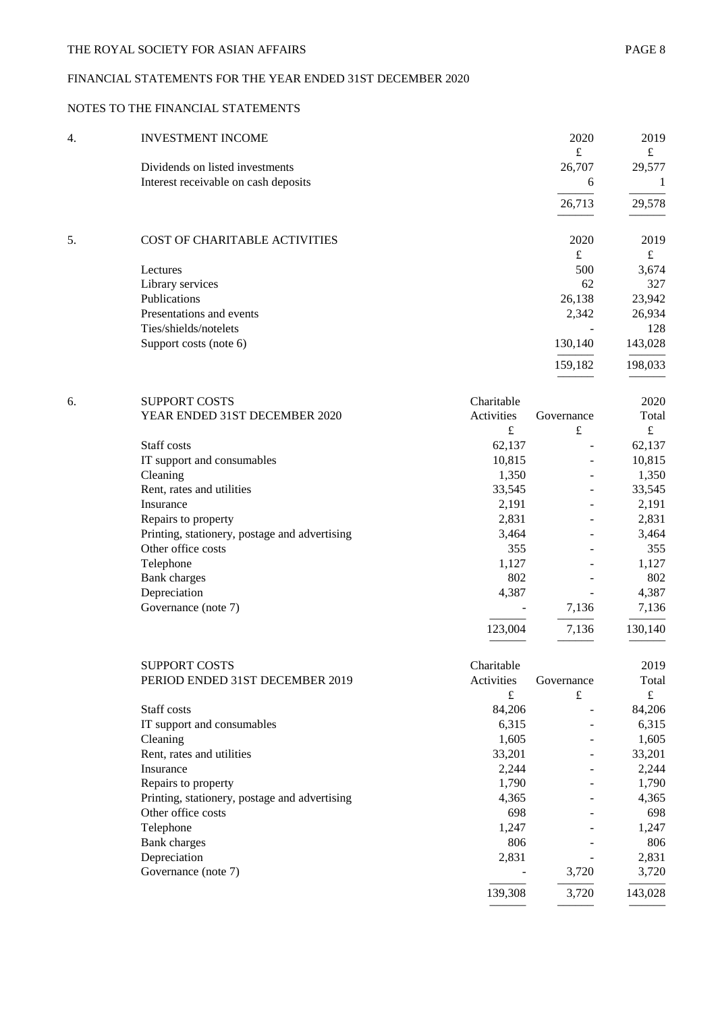# FINANCIAL STATEMENTS FOR THE YEAR ENDED 31ST DECEMBER 2020

# NOTES TO THE FINANCIAL STATEMENTS

| 4. | <b>INVESTMENT INCOME</b>             | 2020    | 2019    |
|----|--------------------------------------|---------|---------|
|    |                                      | £       | £       |
|    | Dividends on listed investments      | 26,707  | 29,577  |
|    | Interest receivable on cash deposits | 6       |         |
|    |                                      | 26,713  | 29,578  |
| 5. | COST OF CHARITABLE ACTIVITIES        | 2020    | 2019    |
|    |                                      | £       | £       |
|    | Lectures                             | 500     | 3,674   |
|    | Library services                     | 62      | 327     |
|    | Publications                         | 26,138  | 23,942  |
|    | Presentations and events             | 2,342   | 26,934  |
|    | Ties/shields/notelets                |         | 128     |
|    | Support costs (note 6)               | 130,140 | 143,028 |
|    |                                      | 159,182 | 198,033 |
|    |                                      |         |         |

| 6. | <b>SUPPORT COSTS</b>                          | Charitable |            | 2020    |
|----|-----------------------------------------------|------------|------------|---------|
|    | YEAR ENDED 31ST DECEMBER 2020                 | Activities | Governance | Total   |
|    |                                               | £          | £          | £       |
|    | Staff costs                                   | 62,137     |            | 62,137  |
|    | IT support and consumables                    | 10,815     |            | 10,815  |
|    | Cleaning                                      | 1,350      | -          | 1,350   |
|    | Rent, rates and utilities                     | 33,545     |            | 33,545  |
|    | Insurance                                     | 2,191      |            | 2,191   |
|    | Repairs to property                           | 2,831      | -          | 2,831   |
|    | Printing, stationery, postage and advertising | 3,464      |            | 3,464   |
|    | Other office costs                            | 355        |            | 355     |
|    | Telephone                                     | 1,127      |            | 1,127   |
|    | Bank charges                                  | 802        |            | 802     |
|    | Depreciation                                  | 4,387      |            | 4,387   |
|    | Governance (note 7)                           |            | 7,136      | 7,136   |
|    |                                               | 123,004    | 7,136      | 130,140 |
|    |                                               |            |            |         |

| <b>SUPPORT COSTS</b>                          | Charitable |            | 2019    |
|-----------------------------------------------|------------|------------|---------|
| PERIOD ENDED 31ST DECEMBER 2019               | Activities | Governance | Total   |
|                                               | £          | £          | £       |
| Staff costs                                   | 84,206     |            | 84,206  |
| IT support and consumables                    | 6,315      |            | 6,315   |
| Cleaning                                      | 1,605      |            | 1,605   |
| Rent, rates and utilities                     | 33,201     |            | 33,201  |
| Insurance                                     | 2,244      |            | 2,244   |
| Repairs to property                           | 1,790      |            | 1,790   |
| Printing, stationery, postage and advertising | 4,365      |            | 4,365   |
| Other office costs                            | 698        |            | 698     |
| Telephone                                     | 1,247      |            | 1,247   |
| Bank charges                                  | 806        |            | 806     |
| Depreciation                                  | 2,831      |            | 2,831   |
| Governance (note 7)                           |            | 3,720      | 3,720   |
|                                               | 139,308    | 3,720      | 143,028 |
|                                               |            |            |         |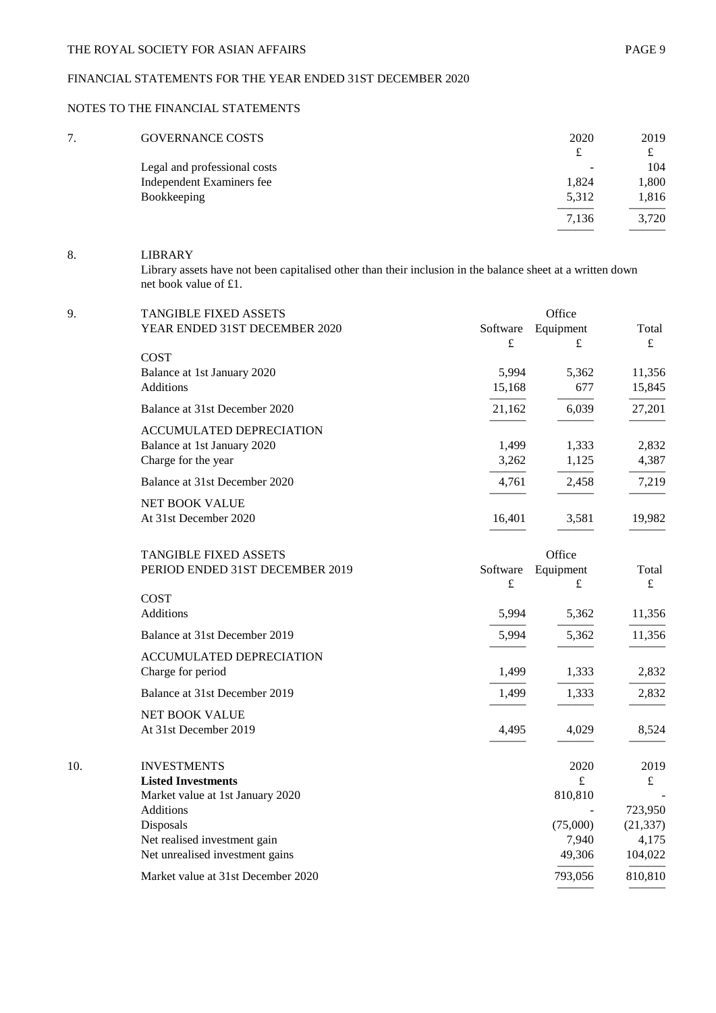# FINANCIAL STATEMENTS FOR THE YEAR ENDED 31ST DECEMBER 2020

# NOTES TO THE FINANCIAL STATEMENTS

| 7 | <b>GOVERNANCE COSTS</b>      | 2020  | 2019  |
|---|------------------------------|-------|-------|
|   |                              |       | £     |
|   | Legal and professional costs |       | 104   |
|   | Independent Examiners fee    | 1,824 | 1,800 |
|   | Bookkeeping                  | 5,312 | 1,816 |
|   |                              | 7,136 | 3,720 |

# 8. LIBRARY

Library assets have not been capitalised other than their inclusion in the balance sheet at a written down net book value of £1.

| 9.  | <b>TANGIBLE FIXED ASSETS</b>                                    |                 | Office                 |                      |  |  |
|-----|-----------------------------------------------------------------|-----------------|------------------------|----------------------|--|--|
|     | YEAR ENDED 31ST DECEMBER 2020                                   | Software        | Equipment              | Total                |  |  |
|     |                                                                 | £               | $\pounds$              | $\pounds$            |  |  |
|     | <b>COST</b>                                                     |                 |                        |                      |  |  |
|     | Balance at 1st January 2020<br><b>Additions</b>                 | 5,994<br>15,168 | 5,362<br>677           | 11,356<br>15,845     |  |  |
|     |                                                                 |                 |                        |                      |  |  |
|     | Balance at 31st December 2020                                   | 21,162          | 6,039                  | 27,201               |  |  |
|     | <b>ACCUMULATED DEPRECIATION</b>                                 |                 |                        |                      |  |  |
|     | Balance at 1st January 2020                                     | 1,499           | 1,333                  | 2,832                |  |  |
|     | Charge for the year                                             | 3,262           | 1,125                  | 4,387                |  |  |
|     | Balance at 31st December 2020                                   | 4,761           | 2,458                  | 7,219                |  |  |
|     | <b>NET BOOK VALUE</b>                                           |                 |                        |                      |  |  |
|     | At 31st December 2020                                           | 16,401          | 3,581                  | 19,982               |  |  |
|     |                                                                 |                 |                        |                      |  |  |
|     | <b>TANGIBLE FIXED ASSETS</b><br>PERIOD ENDED 31ST DECEMBER 2019 |                 | Office                 | Total                |  |  |
|     |                                                                 | Software<br>£   | Equipment<br>$\pounds$ | $\pounds$            |  |  |
|     | <b>COST</b>                                                     |                 |                        |                      |  |  |
|     | <b>Additions</b>                                                | 5,994           | 5,362                  | 11,356               |  |  |
|     | Balance at 31st December 2019                                   | 5,994           | 5,362                  | 11,356               |  |  |
|     | ACCUMULATED DEPRECIATION                                        |                 |                        |                      |  |  |
|     | Charge for period                                               | 1,499           | 1,333                  | 2,832                |  |  |
|     | Balance at 31st December 2019                                   | 1,499           | 1,333                  | 2,832                |  |  |
|     | NET BOOK VALUE                                                  |                 |                        |                      |  |  |
|     | At 31st December 2019                                           | 4,495           | 4,029                  | 8,524                |  |  |
|     |                                                                 |                 |                        |                      |  |  |
| 10. | <b>INVESTMENTS</b>                                              |                 | 2020                   | 2019                 |  |  |
|     | <b>Listed Investments</b>                                       |                 | $\pounds$              | $\mathbf f$          |  |  |
|     | Market value at 1st January 2020<br><b>Additions</b>            |                 | 810,810                |                      |  |  |
|     | Disposals                                                       |                 | (75,000)               | 723,950<br>(21, 337) |  |  |
|     | Net realised investment gain                                    |                 | 7,940                  | 4,175                |  |  |
|     | Net unrealised investment gains                                 |                 | 49,306                 | 104,022              |  |  |
|     | Market value at 31st December 2020                              |                 | 793,056                | 810,810              |  |  |
|     |                                                                 |                 |                        |                      |  |  |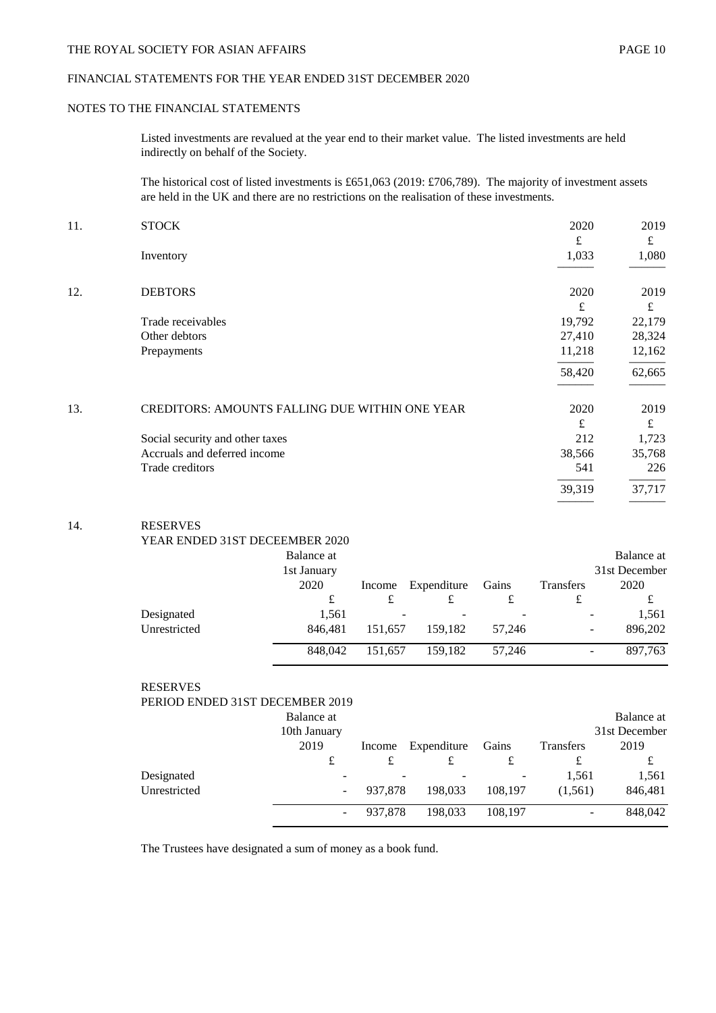# FINANCIAL STATEMENTS FOR THE YEAR ENDED 31ST DECEMBER 2020

#### NOTES TO THE FINANCIAL STATEMENTS

Listed investments are revalued at the year end to their market value. The listed investments are held indirectly on behalf of the Society.

The historical cost of listed investments is £651,063 (2019: £706,789). The majority of investment assets are held in the UK and there are no restrictions on the realisation of these investments.

| 11. | <b>STOCK</b>                                          | 2020   | 2019   |
|-----|-------------------------------------------------------|--------|--------|
|     |                                                       | £      | £      |
|     | Inventory                                             | 1,033  | 1,080  |
|     |                                                       |        |        |
| 12. | <b>DEBTORS</b>                                        | 2020   | 2019   |
|     |                                                       | £      | £      |
|     | Trade receivables                                     | 19,792 | 22,179 |
|     | Other debtors                                         | 27,410 | 28,324 |
|     | Prepayments                                           | 11,218 | 12,162 |
|     |                                                       | 58,420 | 62,665 |
| 13. | <b>CREDITORS: AMOUNTS FALLING DUE WITHIN ONE YEAR</b> | 2020   | 2019   |
|     |                                                       | £      | £      |
|     | Social security and other taxes                       | 212    | 1,723  |
|     | Accruals and deferred income                          | 38,566 | 35,768 |
|     | Trade creditors                                       | 541    | 226    |
|     |                                                       | 39,319 | 37,717 |
|     |                                                       |        |        |

#### 14. RESERVES

| YEAR ENDED 31ST DECEEMBER 2020 |  |
|--------------------------------|--|
| $\mathbf{r}$ 1 $\mathbf{r}$    |  |

|              | Balance at  |         |             |        |                  | Balance at                          |
|--------------|-------------|---------|-------------|--------|------------------|-------------------------------------|
|              | 1st January |         |             |        |                  | 31st December                       |
|              | 2020        | Income  | Expenditure | Gains  | <b>Transfers</b> | 2020                                |
|              | £           |         |             |        | t                | £                                   |
| Designated   | 1.561       | -       |             |        |                  | 1,561                               |
| Unrestricted | 846.481     | 151.657 | 159.182     | 57,246 |                  | 896,202<br>-                        |
|              | 848,042     | 151.657 | 159,182     | 57,246 |                  | 897,763<br>$\overline{\phantom{0}}$ |

| <b>RESERVES</b>                 |              |         |             |         |                  |               |
|---------------------------------|--------------|---------|-------------|---------|------------------|---------------|
| PERIOD ENDED 31ST DECEMBER 2019 |              |         |             |         |                  |               |
|                                 | Balance at   |         |             |         |                  | Balance at    |
|                                 | 10th January |         |             |         |                  | 31st December |
|                                 | 2019         | Income  | Expenditure | Gains   | <b>Transfers</b> | 2019          |
|                                 | £            | £       | £           | £       | £                | £             |
| Designated                      |              |         |             |         | 1,561            | 1,561         |
| Unrestricted                    |              | 937,878 | 198,033     | 108.197 | (1,561)          | 846,481       |
|                                 |              | 937.878 | 198.033     | 108,197 |                  | 848,042       |

The Trustees have designated a sum of money as a book fund.